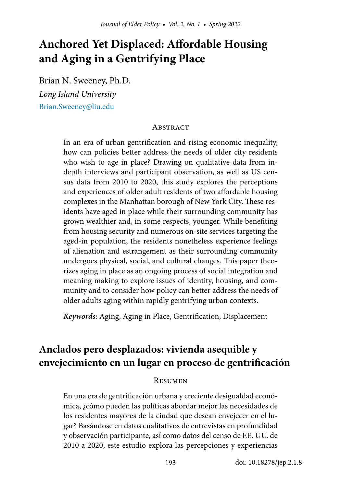# **Anchored Yet Displaced: Affordable Housing and Aging in a Gentrifying Place**

Brian N. Sweeney, Ph.D. *Long Island University* [Brian.Sweeney@liu.edu](mailto:Brian.Sweeney%40liu.edu?subject=)

### **ABSTRACT**

In an era of urban gentrification and rising economic inequality, how can policies better address the needs of older city residents who wish to age in place? Drawing on qualitative data from indepth interviews and participant observation, as well as US census data from 2010 to 2020, this study explores the perceptions and experiences of older adult residents of two affordable housing complexes in the Manhattan borough of New York City. These residents have aged in place while their surrounding community has grown wealthier and, in some respects, younger. While benefiting from housing security and numerous on-site services targeting the aged-in population, the residents nonetheless experience feelings of alienation and estrangement as their surrounding community undergoes physical, social, and cultural changes. This paper theorizes aging in place as an ongoing process of social integration and meaning making to explore issues of identity, housing, and community and to consider how policy can better address the needs of older adults aging within rapidly gentrifying urban contexts.

*Keywords:* Aging, Aging in Place, Gentrification, Displacement

# **Anclados pero desplazados: vivienda asequible y envejecimiento en un lugar en proceso de gentrificación**

### **RESUMEN**

En una era de gentrificación urbana y creciente desigualdad económica, ¿cómo pueden las políticas abordar mejor las necesidades de los residentes mayores de la ciudad que desean envejecer en el lugar? Basándose en datos cualitativos de entrevistas en profundidad y observación participante, así como datos del censo de EE. UU. de 2010 a 2020, este estudio explora las percepciones y experiencias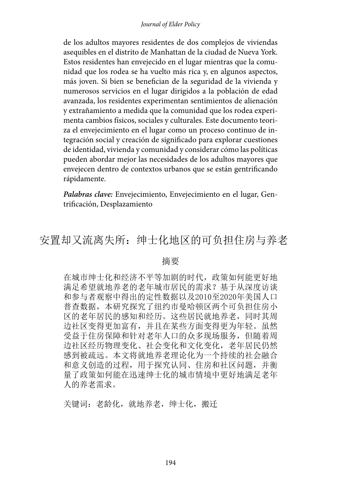#### *Journal of Elder Policy*

de los adultos mayores residentes de dos complejos de viviendas asequibles en el distrito de Manhattan de la ciudad de Nueva York. Estos residentes han envejecido en el lugar mientras que la comunidad que los rodea se ha vuelto más rica y, en algunos aspectos, más joven. Si bien se benefician de la seguridad de la vivienda y numerosos servicios en el lugar dirigidos a la población de edad avanzada, los residentes experimentan sentimientos de alienación y extrañamiento a medida que la comunidad que los rodea experimenta cambios físicos, sociales y culturales. Este documento teoriza el envejecimiento en el lugar como un proceso continuo de integración social y creación de significado para explorar cuestiones de identidad, vivienda y comunidad y considerar cómo las políticas pueden abordar mejor las necesidades de los adultos mayores que envejecen dentro de contextos urbanos que se están gentrificando rápidamente.

*Palabras clave:* Envejecimiento, Envejecimiento en el lugar, Gentrificación, Desplazamiento

# 安置却又流离失所:绅士化地区的可负担住房与养老

#### 摘要

在城市绅士化和经济不平等加剧的时代,政策如何能更好地 满足希望就地养老的老年城市居民的需求?基于从深度访谈 和参与者观察中得出的定性数据以及2010至2020年美国人口 普查数据,本研究探究了纽约市曼哈顿区两个可负担住房小 区的老年居民的感知和经历。这些居民就地养老,同时其周 边社区变得更加富有,并且在某些方面变得更为年轻。虽然 受益于住房保障和针对老年人口的众多现场服务,但随着周 边社区经历物理变化、社会变化和文化变化,老年居民仍然 感到被疏远。本文将就地养老理论化为一个持续的社会融合 和意义创造的过程,用于探究认同、住房和社区问题,并衡 量了政策如何能在迅速绅士化的城市情境中更好地满足老年 人的养老需求。

关键词:老龄化,就地养老,绅士化,搬迁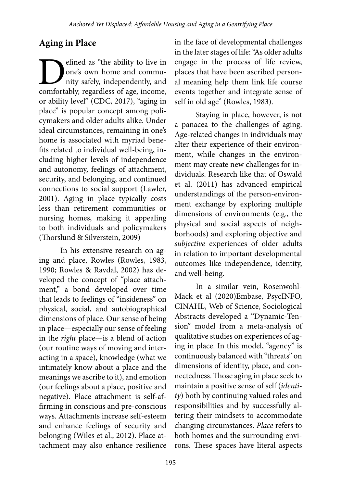# **Aging in Place**

**D**efined as "the ability to live in one's own home and community safely, independently, and comfortably, regardless of age, income, one's own home and community safely, independently, and or ability level" (CDC, 2017), "aging in place" is popular concept among policymakers and older adults alike. Under ideal circumstances, remaining in one's home is associated with myriad benefits related to individual well-being, including higher levels of independence and autonomy, feelings of attachment, security, and belonging, and continued connections to social support (Lawler, 2001). Aging in place typically costs less than retirement communities or nursing homes, making it appealing to both individuals and policymakers (Thorslund & Silverstein, 2009)

In his extensive research on aging and place, Rowles (Rowles, 1983, 1990; Rowles & Ravdal, 2002) has developed the concept of "place attachment," a bond developed over time that leads to feelings of "insideness" on physical, social, and autobiographical dimensions of place. Our sense of being in place—especially our sense of feeling in the *right* place—is a blend of action (our routine ways of moving and interacting in a space), knowledge (what we intimately know about a place and the meanings we ascribe to it), and emotion (our feelings about a place, positive and negative). Place attachment is self-affirming in conscious and pre-conscious ways. Attachments increase self-esteem and enhance feelings of security and belonging (Wiles et al., 2012). Place attachment may also enhance resilience

in the face of developmental challenges in the later stages of life: "As older adults engage in the process of life review, places that have been ascribed personal meaning help them link life course events together and integrate sense of self in old age" (Rowles, 1983).

Staying in place, however, is not a panacea to the challenges of aging. Age-related changes in individuals may alter their experience of their environment, while changes in the environment may create new challenges for individuals. Research like that of Oswald et al. (2011) has advanced empirical understandings of the person-environment exchange by exploring multiple dimensions of environments (e.g., the physical and social aspects of neighborhoods) and exploring objective and *subjective* experiences of older adults in relation to important developmental outcomes like independence, identity, and well-being.

In a similar vein, Rosenwohl-Mack et al (2020)Embase, PsycINFO, CINAHL, Web of Science, Sociological Abstracts developed a "Dynamic-Tension" model from a meta-analysis of qualitative studies on experiences of aging in place. In this model, "agency" is continuously balanced with "threats" on dimensions of identity, place, and connectedness. Those aging in place seek to maintain a positive sense of self (*identity*) both by continuing valued roles and responsibilities and by successfully altering their mindsets to accommodate changing circumstances. *Place* refers to both homes and the surrounding environs. These spaces have literal aspects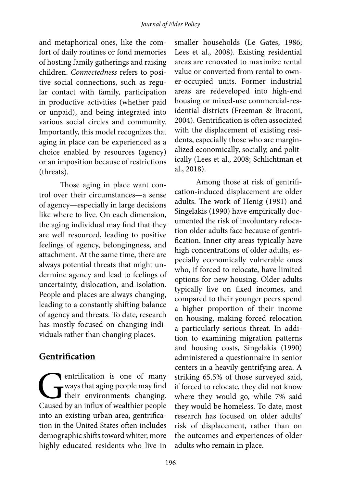and metaphorical ones, like the comfort of daily routines or fond memories of hosting family gatherings and raising children. *Connectedness* refers to positive social connections, such as regular contact with family, participation in productive activities (whether paid or unpaid), and being integrated into various social circles and community. Importantly, this model recognizes that aging in place can be experienced as a choice enabled by resources (agency) or an imposition because of restrictions (threats).

Those aging in place want control over their circumstances—a sense of agency—especially in large decisions like where to live. On each dimension, the aging individual may find that they are well resourced, leading to positive feelings of agency, belongingness, and attachment. At the same time, there are always potential threats that might undermine agency and lead to feelings of uncertainty, dislocation, and isolation. People and places are always changing, leading to a constantly shifting balance of agency and threats. To date, research has mostly focused on changing individuals rather than changing places.

### **Gentrification**

entrification is one of many<br>ways that aging people may find<br>their environments changing.<br>Caused by an influx of wealthier people ways that aging people may find their environments changing. Caused by an influx of wealthier people into an existing urban area, gentrification in the United States often includes demographic shifts toward whiter, more highly educated residents who live in

smaller households (Le Gates, 1986; Lees et al., 2008). Existing residential areas are renovated to maximize rental value or converted from rental to owner-occupied units. Former industrial areas are redeveloped into high-end housing or mixed-use commercial-residential districts (Freeman & Braconi, 2004). Gentrification is often associated with the displacement of existing residents, especially those who are marginalized economically, socially, and politically (Lees et al., 2008; Schlichtman et al., 2018).

Among those at risk of gentrification-induced displacement are older adults. The work of Henig (1981) and Singelakis (1990) have empirically documented the risk of involuntary relocation older adults face because of gentrification. Inner city areas typically have high concentrations of older adults, especially economically vulnerable ones who, if forced to relocate, have limited options for new housing. Older adults typically live on fixed incomes, and compared to their younger peers spend a higher proportion of their income on housing, making forced relocation a particularly serious threat. In addition to examining migration patterns and housing costs, Singelakis (1990) administered a questionnaire in senior centers in a heavily gentrifying area. A striking 65.5% of those surveyed said, if forced to relocate, they did not know where they would go, while 7% said they would be homeless. To date, most research has focused on older adults' risk of displacement, rather than on the outcomes and experiences of older adults who remain in place.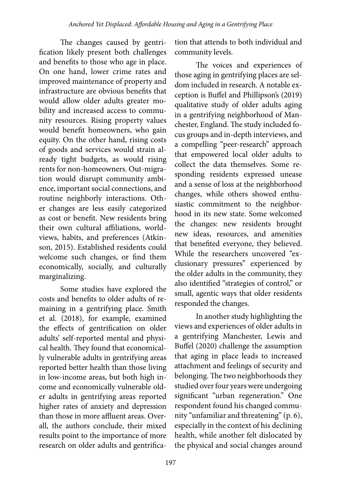The changes caused by gentrification likely present both challenges and benefits to those who age in place. On one hand, lower crime rates and improved maintenance of property and infrastructure are obvious benefits that would allow older adults greater mobility and increased access to community resources. Rising property values would benefit homeowners, who gain equity. On the other hand, rising costs of goods and services would strain already tight budgets, as would rising rents for non-homeowners. Out-migration would disrupt community ambience, important social connections, and routine neighborly interactions. Other changes are less easily categorized as cost or benefit. New residents bring their own cultural affiliations, worldviews, habits, and preferences (Atkinson, 2015). Established residents could welcome such changes, or find them economically, socially, and culturally marginalizing.

Some studies have explored the costs and benefits to older adults of remaining in a gentrifying place. Smith et al. (2018), for example, examined the effects of gentrification on older adults' self-reported mental and physical health. They found that economically vulnerable adults in gentrifying areas reported better health than those living in low-income areas, but both high income and economically vulnerable older adults in gentrifying areas reported higher rates of anxiety and depression than those in more affluent areas. Overall, the authors conclude, their mixed results point to the importance of more research on older adults and gentrification that attends to both individual and community levels.

The voices and experiences of those aging in gentrifying places are seldom included in research. A notable exception is Buffel and Phillipson's (2019) qualitative study of older adults aging in a gentrifying neighborhood of Manchester, England. The study included focus groups and in-depth interviews, and a compelling "peer-research" approach that empowered local older adults to collect the data themselves. Some responding residents expressed unease and a sense of loss at the neighborhood changes, while others showed enthusiastic commitment to the neighborhood in its new state. Some welcomed the changes: new residents brought new ideas, resources, and amenities that benefited everyone, they believed. While the researchers uncovered "exclusionary pressures" experienced by the older adults in the community, they also identified "strategies of control," or small, agentic ways that older residents responded the changes.

In another study highlighting the views and experiences of older adults in a gentrifying Manchester, Lewis and Buffel (2020) challenge the assumption that aging in place leads to increased attachment and feelings of security and belonging. The two neighborhoods they studied over four years were undergoing significant "urban regeneration." One respondent found his changed community "unfamiliar and threatening" (p. 6), especially in the context of his declining health, while another felt dislocated by the physical and social changes around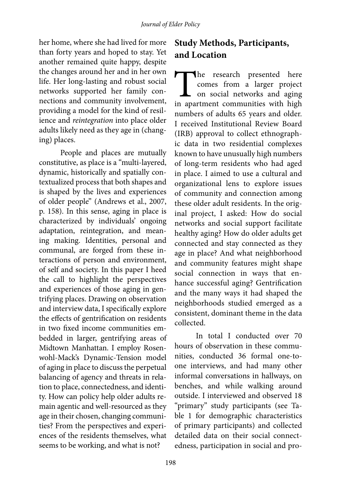her home, where she had lived for more than forty years and hoped to stay. Yet another remained quite happy, despite the changes around her and in her own life. Her long-lasting and robust social networks supported her family connections and community involvement, providing a model for the kind of resilience and *reintegration* into place older adults likely need as they age in (changing) places.

People and places are mutually constitutive, as place is a "multi-layered, dynamic, historically and spatially contextualized process that both shapes and is shaped by the lives and experiences of older people" (Andrews et al., 2007, p. 158). In this sense, aging in place is characterized by individuals' ongoing adaptation, reintegration, and meaning making. Identities, personal and communal, are forged from these interactions of person and environment, of self and society. In this paper I heed the call to highlight the perspectives and experiences of those aging in gentrifying places. Drawing on observation and interview data, I specifically explore the effects of gentrification on residents in two fixed income communities embedded in larger, gentrifying areas of Midtown Manhattan. I employ Rosenwohl-Mack's Dynamic-Tension model of aging in place to discuss the perpetual balancing of agency and threats in relation to place, connectedness, and identity. How can policy help older adults remain agentic and well-resourced as they age in their chosen, changing communities? From the perspectives and experiences of the residents themselves, what seems to be working, and what is not?

# **Study Methods, Participants, and Location**

The research presented here comes from a larger project on social networks and aging in apartment communities with high comes from a larger project on social networks and aging numbers of adults 65 years and older. I received Institutional Review Board (IRB) approval to collect ethnographic data in two residential complexes known to have unusually high numbers of long-term residents who had aged in place. I aimed to use a cultural and organizational lens to explore issues of community and connection among these older adult residents. In the original project, I asked: How do social networks and social support facilitate healthy aging? How do older adults get connected and stay connected as they age in place? And what neighborhood and community features might shape social connection in ways that enhance successful aging? Gentrification and the many ways it had shaped the neighborhoods studied emerged as a consistent, dominant theme in the data collected.

In total I conducted over 70 hours of observation in these communities, conducted 36 formal one-toone interviews, and had many other informal conversations in hallways, on benches, and while walking around outside. I interviewed and observed 18 "primary" study participants (see Table 1 for demographic characteristics of primary participants) and collected detailed data on their social connectedness, participation in social and pro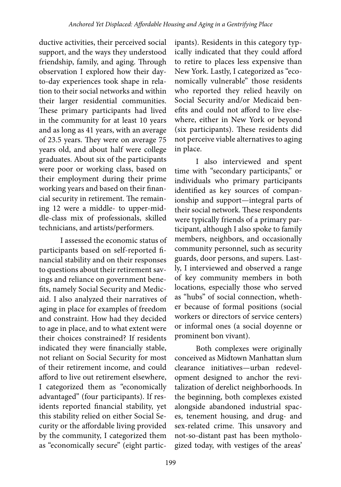ductive activities, their perceived social support, and the ways they understood friendship, family, and aging. Through observation I explored how their dayto-day experiences took shape in relation to their social networks and within their larger residential communities. These primary participants had lived in the community for at least 10 years and as long as 41 years, with an average of 23.5 years. They were on average 75 years old, and about half were college graduates. About six of the participants were poor or working class, based on their employment during their prime working years and based on their financial security in retirement. The remaining 12 were a middle- to upper-middle-class mix of professionals, skilled technicians, and artists/performers.

I assessed the economic status of participants based on self-reported financial stability and on their responses to questions about their retirement savings and reliance on government benefits, namely Social Security and Medicaid. I also analyzed their narratives of aging in place for examples of freedom and constraint. How had they decided to age in place, and to what extent were their choices constrained? If residents indicated they were financially stable, not reliant on Social Security for most of their retirement income, and could afford to live out retirement elsewhere, I categorized them as "economically advantaged" (four participants). If residents reported financial stability, yet this stability relied on either Social Security or the affordable living provided by the community, I categorized them as "economically secure" (eight partic-

ipants). Residents in this category typically indicated that they could afford to retire to places less expensive than New York. Lastly, I categorized as "economically vulnerable" those residents who reported they relied heavily on Social Security and/or Medicaid benefits and could not afford to live elsewhere, either in New York or beyond (six participants). These residents did not perceive viable alternatives to aging in place.

I also interviewed and spent time with "secondary participants," or individuals who primary participants identified as key sources of companionship and support—integral parts of their social network. These respondents were typically friends of a primary participant, although I also spoke to family members, neighbors, and occasionally community personnel, such as security guards, door persons, and supers. Lastly, I interviewed and observed a range of key community members in both locations, especially those who served as "hubs" of social connection, whether because of formal positions (social workers or directors of service centers) or informal ones (a social doyenne or prominent bon vivant).

Both complexes were originally conceived as Midtown Manhattan slum clearance initiatives—urban redevelopment designed to anchor the revitalization of derelict neighborhoods. In the beginning, both complexes existed alongside abandoned industrial spaces, tenement housing, and drug- and sex-related crime. This unsavory and not-so-distant past has been mythologized today, with vestiges of the areas'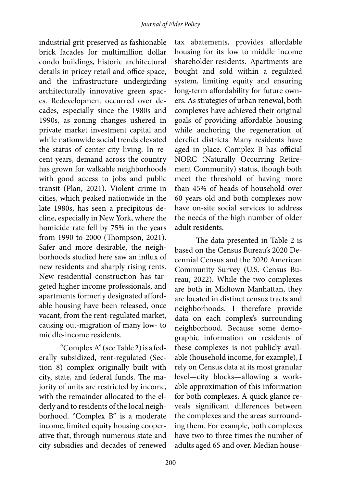industrial grit preserved as fashionable brick facades for multimillion dollar condo buildings, historic architectural details in pricey retail and office space, and the infrastructure undergirding architecturally innovative green spaces. Redevelopment occurred over decades, especially since the 1980s and 1990s, as zoning changes ushered in private market investment capital and while nationwide social trends elevated the status of center-city living. In recent years, demand across the country has grown for walkable neighborhoods with good access to jobs and public transit (Plan, 2021). Violent crime in cities, which peaked nationwide in the late 1980s, has seen a precipitous decline, especially in New York, where the homicide rate fell by 75% in the years from 1990 to 2000 (Thompson, 2021). Safer and more desirable, the neighborhoods studied here saw an influx of new residents and sharply rising rents. New residential construction has targeted higher income professionals, and apartments formerly designated affordable housing have been released, once vacant, from the rent-regulated market, causing out-migration of many low- to middle-income residents.

"Complex A" (see Table 2) is a federally subsidized, rent-regulated (Section 8) complex originally built with city, state, and federal funds. The majority of units are restricted by income, with the remainder allocated to the elderly and to residents of the local neighborhood. "Complex B" is a moderate income, limited equity housing cooperative that, through numerous state and city subsidies and decades of renewed

tax abatements, provides affordable housing for its low to middle income shareholder-residents. Apartments are bought and sold within a regulated system, limiting equity and ensuring long-term affordability for future owners. As strategies of urban renewal, both complexes have achieved their original goals of providing affordable housing while anchoring the regeneration of derelict districts. Many residents have aged in place. Complex B has official NORC (Naturally Occurring Retirement Community) status, though both meet the threshold of having more than 45% of heads of household over 60 years old and both complexes now have on-site social services to address the needs of the high number of older adult residents.

The data presented in Table 2 is based on the Census Bureau's 2020 Decennial Census and the 2020 American Community Survey (U.S. Census Bureau, 2022). While the two complexes are both in Midtown Manhattan, they are located in distinct census tracts and neighborhoods. I therefore provide data on each complex's surrounding neighborhood. Because some demographic information on residents of these complexes is not publicly available (household income, for example), I rely on Census data at its most granular level—city blocks—allowing a workable approximation of this information for both complexes. A quick glance reveals significant differences between the complexes and the areas surrounding them. For example, both complexes have two to three times the number of adults aged 65 and over. Median house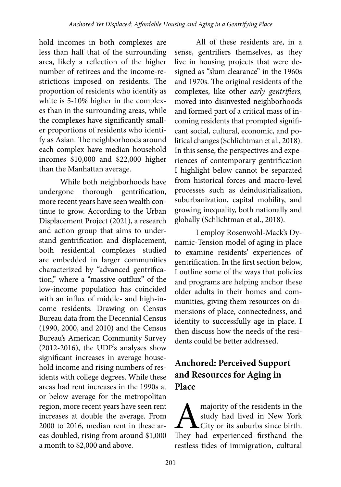hold incomes in both complexes are less than half that of the surrounding area, likely a reflection of the higher number of retirees and the income-restrictions imposed on residents. The proportion of residents who identify as white is 5-10% higher in the complexes than in the surrounding areas, while the complexes have significantly smaller proportions of residents who identify as Asian. The neighborhoods around each complex have median household incomes \$10,000 and \$22,000 higher than the Manhattan average.

While both neighborhoods have undergone thorough gentrification, more recent years have seen wealth continue to grow. According to the Urban Displacement Project (2021), a research and action group that aims to understand gentrification and displacement, both residential complexes studied are embedded in larger communities characterized by "advanced gentrification," where a "massive outflux" of the low-income population has coincided with an influx of middle- and high-income residents. Drawing on Census Bureau data from the Decennial Census (1990, 2000, and 2010) and the Census Bureau's American Community Survey (2012-2016), the UDP's analyses show significant increases in average household income and rising numbers of residents with college degrees. While these areas had rent increases in the 1990s at or below average for the metropolitan region, more recent years have seen rent increases at double the average. From 2000 to 2016, median rent in these areas doubled, rising from around \$1,000 a month to \$2,000 and above.

All of these residents are, in a sense, gentrifiers themselves, as they live in housing projects that were designed as "slum clearance" in the 1960s and 1970s. The original residents of the complexes, like other *early gentrifiers,*  moved into disinvested neighborhoods and formed part of a critical mass of incoming residents that prompted significant social, cultural, economic, and political changes (Schlichtman et al., 2018). In this sense, the perspectives and experiences of contemporary gentrification I highlight below cannot be separated from historical forces and macro-level processes such as deindustrialization, suburbanization, capital mobility, and growing inequality, both nationally and globally (Schlichtman et al., 2018).

I employ Rosenwohl-Mack's Dynamic-Tension model of aging in place to examine residents' experiences of gentrification. In the first section below, I outline some of the ways that policies and programs are helping anchor these older adults in their homes and communities, giving them resources on dimensions of place, connectedness, and identity to successfully age in place. I then discuss how the needs of the residents could be better addressed.

## **Anchored: Perceived Support and Resources for Aging in Place**

**A** majority of the residents in the study had lived in New York City or its suburbs since birth.<br>They had experienced firsthand the study had lived in New York City or its suburbs since birth. They had experienced firsthand the restless tides of immigration, cultural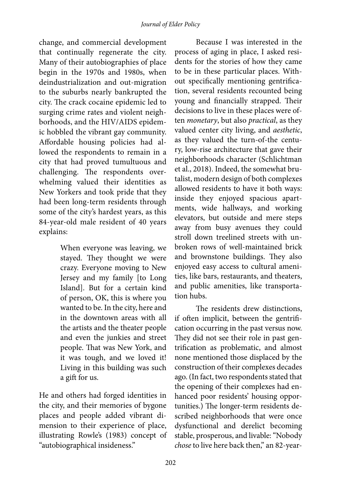change, and commercial development that continually regenerate the city. Many of their autobiographies of place begin in the 1970s and 1980s, when deindustrialization and out-migration to the suburbs nearly bankrupted the city. The crack cocaine epidemic led to surging crime rates and violent neighborhoods, and the HIV/AIDS epidemic hobbled the vibrant gay community. Affordable housing policies had allowed the respondents to remain in a city that had proved tumultuous and challenging. The respondents overwhelming valued their identities as New Yorkers and took pride that they had been long-term residents through some of the city's hardest years, as this 84-year-old male resident of 40 years explains:

> When everyone was leaving, we stayed. They thought we were crazy. Everyone moving to New Jersey and my family [to Long Island]. But for a certain kind of person, OK, this is where you wanted to be. In the city, here and in the downtown areas with all the artists and the theater people and even the junkies and street people. That was New York, and it was tough, and we loved it! Living in this building was such a gift for us.

He and others had forged identities in the city, and their memories of bygone places and people added vibrant dimension to their experience of place, illustrating Rowle's (1983) concept of "autobiographical insideness."

Because I was interested in the process of aging in place, I asked residents for the stories of how they came to be in these particular places. Without specifically mentioning gentrification, several residents recounted being young and financially strapped. Their decisions to live in these places were often *monetary*, but also *practical*, as they valued center city living, and *aesthetic*, as they valued the turn-of-the century, low-rise architecture that gave their neighborhoods character (Schlichtman et al., 2018). Indeed, the somewhat brutalist, modern design of both complexes allowed residents to have it both ways: inside they enjoyed spacious apartments, wide hallways, and working elevators, but outside and mere steps away from busy avenues they could stroll down treelined streets with unbroken rows of well-maintained brick and brownstone buildings. They also enjoyed easy access to cultural amenities, like bars, restaurants, and theaters, and public amenities, like transportation hubs.

The residents drew distinctions, if often implicit, between the gentrification occurring in the past versus now. They did not see their role in past gentrification as problematic, and almost none mentioned those displaced by the construction of their complexes decades ago. (In fact, two respondents stated that the opening of their complexes had enhanced poor residents' housing opportunities.) The longer-term residents described neighborhoods that were once dysfunctional and derelict becoming stable, prosperous, and livable: "Nobody *chose* to live here back then," an 82-year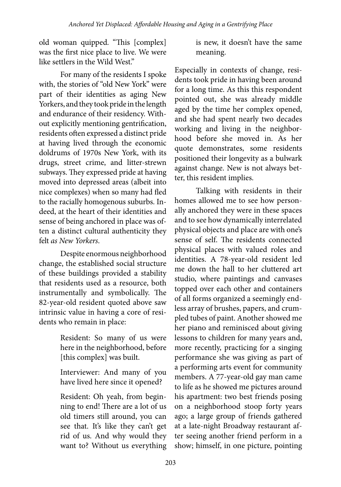old woman quipped. "This [complex] was the first nice place to live. We were like settlers in the Wild West."

For many of the residents I spoke with, the stories of "old New York" were part of their identities as aging New Yorkers, and they took pride in the length and endurance of their residency. Without explicitly mentioning gentrification, residents often expressed a distinct pride at having lived through the economic doldrums of 1970s New York, with its drugs, street crime, and litter-strewn subways. They expressed pride at having moved into depressed areas (albeit into nice complexes) when so many had fled to the racially homogenous suburbs. Indeed, at the heart of their identities and sense of being anchored in place was often a distinct cultural authenticity they felt *as New Yorkers*.

Despite enormous neighborhood change, the established social structure of these buildings provided a stability that residents used as a resource, both instrumentally and symbolically. The 82-year-old resident quoted above saw intrinsic value in having a core of residents who remain in place:

> Resident: So many of us were here in the neighborhood, before [this complex] was built.

> Interviewer: And many of you have lived here since it opened?

> Resident: Oh yeah, from beginning to end! There are a lot of us old timers still around, you can see that. It's like they can't get rid of us. And why would they want to? Without us everything

is new, it doesn't have the same meaning.

Especially in contexts of change, residents took pride in having been around for a long time. As this this respondent pointed out, she was already middle aged by the time her complex opened, and she had spent nearly two decades working and living in the neighborhood before she moved in. As her quote demonstrates, some residents positioned their longevity as a bulwark against change. New is not always better, this resident implies.

Talking with residents in their homes allowed me to see how personally anchored they were in these spaces and to see how dynamically interrelated physical objects and place are with one's sense of self. The residents connected physical places with valued roles and identities. A 78-year-old resident led me down the hall to her cluttered art studio, where paintings and canvases topped over each other and containers of all forms organized a seemingly endless array of brushes, papers, and crumpled tubes of paint. Another showed me her piano and reminisced about giving lessons to children for many years and, more recently, practicing for a singing performance she was giving as part of a performing arts event for community members. A 77-year-old gay man came to life as he showed me pictures around his apartment: two best friends posing on a neighborhood stoop forty years ago; a large group of friends gathered at a late-night Broadway restaurant after seeing another friend perform in a show; himself, in one picture, pointing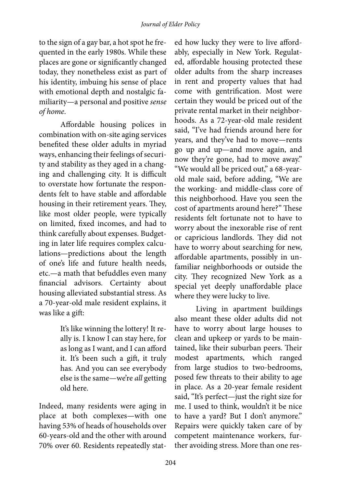to the sign of a gay bar, a hot spot he frequented in the early 1980s. While these places are gone or significantly changed today, they nonetheless exist as part of his identity, imbuing his sense of place with emotional depth and nostalgic familiarity—a personal and positive *sense of home*.

Affordable housing polices in combination with on-site aging services benefited these older adults in myriad ways, enhancing their feelings of security and stability as they aged in a changing and challenging city. It is difficult to overstate how fortunate the respondents felt to have stable and affordable housing in their retirement years. They, like most older people, were typically on limited, fixed incomes, and had to think carefully about expenses. Budgeting in later life requires complex calculations—predictions about the length of one's life and future health needs, etc.—a math that befuddles even many financial advisors. Certainty about housing alleviated substantial stress. As a 70-year-old male resident explains, it was like a gift:

> It's like winning the lottery! It really is. I know I can stay here, for as long as I want, and I can afford it. It's been such a gift, it truly has. And you can see everybody else is the same—we're *all* getting old here.

Indeed, many residents were aging in place at both complexes—with one having 53% of heads of households over 60-years-old and the other with around 70% over 60. Residents repeatedly stat-

ed how lucky they were to live affordably, especially in New York. Regulated, affordable housing protected these older adults from the sharp increases in rent and property values that had come with gentrification. Most were certain they would be priced out of the private rental market in their neighborhoods. As a 72-year-old male resident said, "I've had friends around here for years, and they've had to move—rents go up and up—and move again, and now they're gone, had to move away." "We would all be priced out," a 68-yearold male said, before adding, "We are the working- and middle-class core of this neighborhood. Have you seen the cost of apartments around here?" These residents felt fortunate not to have to worry about the inexorable rise of rent or capricious landlords. They did not have to worry about searching for new, affordable apartments, possibly in unfamiliar neighborhoods or outside the city. They recognized New York as a special yet deeply unaffordable place where they were lucky to live.

Living in apartment buildings also meant these older adults did not have to worry about large houses to clean and upkeep or yards to be maintained, like their suburban peers. Their modest apartments, which ranged from large studios to two-bedrooms, posed few threats to their ability to age in place. As a 20-year female resident said, "It's perfect—just the right size for me. I used to think, wouldn't it be nice to have a yard? But I don't anymore." Repairs were quickly taken care of by competent maintenance workers, further avoiding stress. More than one res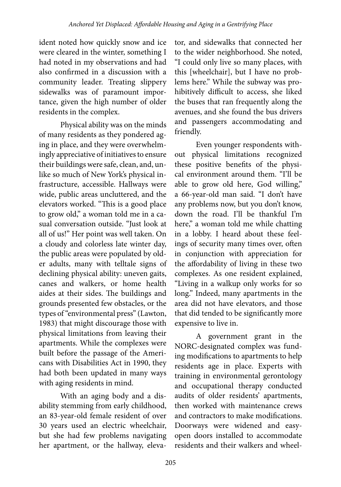ident noted how quickly snow and ice were cleared in the winter, something I had noted in my observations and had also confirmed in a discussion with a community leader. Treating slippery sidewalks was of paramount importance, given the high number of older residents in the complex.

Physical ability was on the minds of many residents as they pondered aging in place, and they were overwhelmingly appreciative of initiatives to ensure their buildings were safe, clean, and, unlike so much of New York's physical infrastructure, accessible. Hallways were wide, public areas uncluttered, and the elevators worked. "This is a good place to grow old," a woman told me in a casual conversation outside. "Just look at all of us!" Her point was well taken. On a cloudy and colorless late winter day, the public areas were populated by older adults, many with telltale signs of declining physical ability: uneven gaits, canes and walkers, or home health aides at their sides. The buildings and grounds presented few obstacles, or the types of "environmental press" (Lawton, 1983) that might discourage those with physical limitations from leaving their apartments. While the complexes were built before the passage of the Americans with Disabilities Act in 1990, they had both been updated in many ways with aging residents in mind.

With an aging body and a disability stemming from early childhood, an 83-year-old female resident of over 30 years used an electric wheelchair, but she had few problems navigating her apartment, or the hallway, eleva-

tor, and sidewalks that connected her to the wider neighborhood. She noted, "I could only live so many places, with this [wheelchair], but I have no problems here." While the subway was prohibitively difficult to access, she liked the buses that ran frequently along the avenues, and she found the bus drivers and passengers accommodating and friendly.

Even younger respondents without physical limitations recognized these positive benefits of the physical environment around them. "I'll be able to grow old here, God willing," a 66-year-old man said. "I don't have any problems now, but you don't know, down the road. I'll be thankful I'm here," a woman told me while chatting in a lobby. I heard about these feelings of security many times over, often in conjunction with appreciation for the affordability of living in these two complexes. As one resident explained, "Living in a walkup only works for so long." Indeed, many apartments in the area did not have elevators, and those that did tended to be significantly more expensive to live in.

A government grant in the NORC-designated complex was funding modifications to apartments to help residents age in place. Experts with training in environmental gerontology and occupational therapy conducted audits of older residents' apartments, then worked with maintenance crews and contractors to make modifications. Doorways were widened and easyopen doors installed to accommodate residents and their walkers and wheel-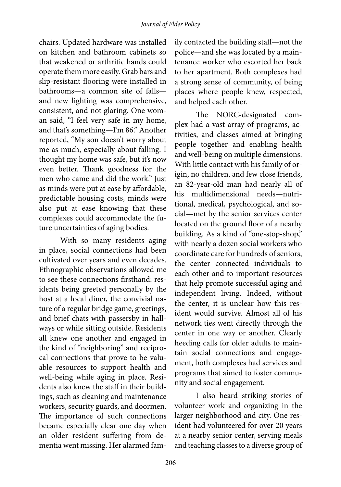### *Journal of Elder Policy*

chairs. Updated hardware was installed on kitchen and bathroom cabinets so that weakened or arthritic hands could operate them more easily. Grab bars and slip-resistant flooring were installed in bathrooms—a common site of falls and new lighting was comprehensive, consistent, and not glaring. One woman said, "I feel very safe in my home, and that's something—I'm 86." Another reported, "My son doesn't worry about me as much, especially about falling. I thought my home was safe, but it's now even better. Thank goodness for the men who came and did the work." Just as minds were put at ease by affordable, predictable housing costs, minds were also put at ease knowing that these complexes could accommodate the future uncertainties of aging bodies.

With so many residents aging in place, social connections had been cultivated over years and even decades. Ethnographic observations allowed me to see these connections firsthand: residents being greeted personally by the host at a local diner, the convivial nature of a regular bridge game, greetings, and brief chats with passersby in hallways or while sitting outside. Residents all knew one another and engaged in the kind of "neighboring" and reciprocal connections that prove to be valuable resources to support health and well-being while aging in place. Residents also knew the staff in their buildings, such as cleaning and maintenance workers, security guards, and doormen. The importance of such connections became especially clear one day when an older resident suffering from dementia went missing. Her alarmed family contacted the building staff—not the police—and she was located by a maintenance worker who escorted her back to her apartment. Both complexes had a strong sense of community, of being places where people knew, respected, and helped each other.

The NORC-designated complex had a vast array of programs, activities, and classes aimed at bringing people together and enabling health and well-being on multiple dimensions. With little contact with his family of origin, no children, and few close friends, an 82-year-old man had nearly all of his multidimensional needs—nutritional, medical, psychological, and social—met by the senior services center located on the ground floor of a nearby building. As a kind of "one-stop-shop," with nearly a dozen social workers who coordinate care for hundreds of seniors, the center connected individuals to each other and to important resources that help promote successful aging and independent living. Indeed, without the center, it is unclear how this resident would survive. Almost all of his network ties went directly through the center in one way or another. Clearly heeding calls for older adults to maintain social connections and engagement, both complexes had services and programs that aimed to foster community and social engagement.

I also heard striking stories of volunteer work and organizing in the larger neighborhood and city. One resident had volunteered for over 20 years at a nearby senior center, serving meals and teaching classes to a diverse group of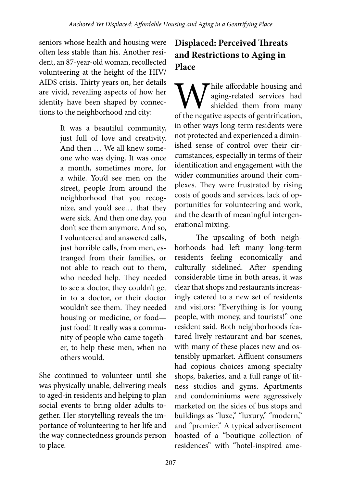seniors whose health and housing were often less stable than his. Another resident, an 87-year-old woman, recollected volunteering at the height of the HIV/ AIDS crisis. Thirty years on, her details are vivid, revealing aspects of how her identity have been shaped by connections to the neighborhood and city:

> It was a beautiful community, just full of love and creativity. And then … We all knew someone who was dying. It was once a month, sometimes more, for a while. You'd see men on the street, people from around the neighborhood that you recognize, and you'd see… that they were sick. And then one day, you don't see them anymore. And so, I volunteered and answered calls, just horrible calls, from men, estranged from their families, or not able to reach out to them, who needed help. They needed to see a doctor, they couldn't get in to a doctor, or their doctor wouldn't see them. They needed housing or medicine, or food just food! It really was a community of people who came together, to help these men, when no others would.

She continued to volunteer until she was physically unable, delivering meals to aged-in residents and helping to plan social events to bring older adults together. Her storytelling reveals the importance of volunteering to her life and the way connectedness grounds person to place.

# **Displaced: Perceived Threats and Restrictions to Aging in Place**

**W** hile affordable housing and aging-related services had shielded them from many of the negative aspects of gentrification, aging-related services had shielded them from many in other ways long-term residents were not protected and experienced a diminished sense of control over their circumstances, especially in terms of their identification and engagement with the wider communities around their complexes. They were frustrated by rising costs of goods and services, lack of opportunities for volunteering and work, and the dearth of meaningful intergenerational mixing.

The upscaling of both neighborhoods had left many long-term residents feeling economically and culturally sidelined. After spending considerable time in both areas, it was clear that shops and restaurants increasingly catered to a new set of residents and visitors: "Everything is for young people, with money, and tourists!" one resident said. Both neighborhoods featured lively restaurant and bar scenes, with many of these places new and ostensibly upmarket. Affluent consumers had copious choices among specialty shops, bakeries, and a full range of fitness studios and gyms. Apartments and condominiums were aggressively marketed on the sides of bus stops and buildings as "luxe," "luxury," "modern," and "premier." A typical advertisement boasted of a "boutique collection of residences" with "hotel-inspired ame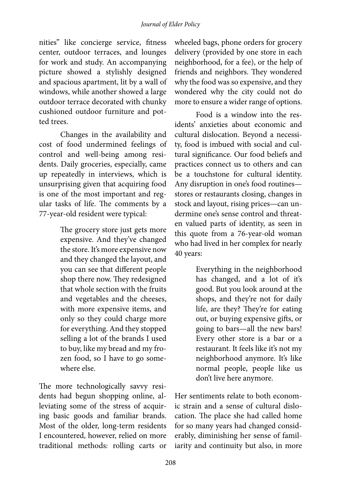nities" like concierge service, fitness center, outdoor terraces, and lounges for work and study. An accompanying picture showed a stylishly designed and spacious apartment, lit by a wall of windows, while another showed a large outdoor terrace decorated with chunky cushioned outdoor furniture and potted trees.

Changes in the availability and cost of food undermined feelings of control and well-being among residents. Daily groceries, especially, came up repeatedly in interviews, which is unsurprising given that acquiring food is one of the most important and regular tasks of life. The comments by a 77-year-old resident were typical:

> The grocery store just gets more expensive. And they've changed the store. It's more expensive now and they changed the layout, and you can see that different people shop there now. They redesigned that whole section with the fruits and vegetables and the cheeses, with more expensive items, and only so they could charge more for everything. And they stopped selling a lot of the brands I used to buy, like my bread and my frozen food, so I have to go somewhere else.

The more technologically savvy residents had begun shopping online, alleviating some of the stress of acquiring basic goods and familiar brands. Most of the older, long-term residents I encountered, however, relied on more traditional methods: rolling carts or wheeled bags, phone orders for grocery delivery (provided by one store in each neighborhood, for a fee), or the help of friends and neighbors. They wondered why the food was so expensive, and they wondered why the city could not do more to ensure a wider range of options.

Food is a window into the residents' anxieties about economic and cultural dislocation. Beyond a necessity, food is imbued with social and cultural significance. Our food beliefs and practices connect us to others and can be a touchstone for cultural identity. Any disruption in one's food routines stores or restaurants closing, changes in stock and layout, rising prices—can undermine one's sense control and threaten valued parts of identity, as seen in this quote from a 76-year-old woman who had lived in her complex for nearly 40 years:

> Everything in the neighborhood has changed, and a lot of it's good. But you look around at the shops, and they're not for daily life, are they? They're for eating out, or buying expensive gifts, or going to bars—all the new bars! Every other store is a bar or a restaurant. It feels like it's not my neighborhood anymore. It's like normal people, people like us don't live here anymore.

Her sentiments relate to both economic strain and a sense of cultural dislocation. The place she had called home for so many years had changed considerably, diminishing her sense of familiarity and continuity but also, in more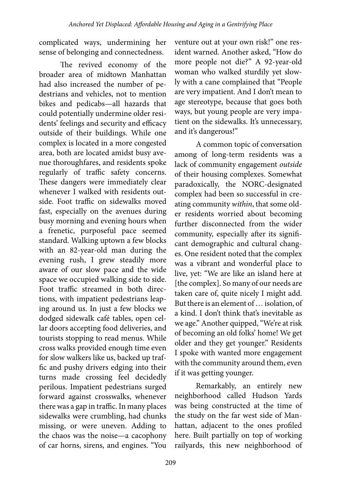complicated ways, undermining her sense of belonging and connectedness.

The revived economy of the broader area of midtown Manhattan had also increased the number of pedestrians and vehicles, not to mention bikes and pedicabs—all hazards that could potentially undermine older residents' feelings and security and efficacy outside of their buildings. While one complex is located in a more congested area, both are located amidst busy avenue thoroughfares, and residents spoke regularly of traffic safety concerns. These dangers were immediately clear whenever I walked with residents outside. Foot traffic on sidewalks moved fast, especially on the avenues during busy morning and evening hours when a frenetic, purposeful pace seemed standard. Walking uptown a few blocks with an 82-year-old man during the evening rush, I grew steadily more aware of our slow pace and the wide space we occupied walking side to side. Foot traffic streamed in both directions, with impatient pedestrians leaping around us. In just a few blocks we dodged sidewalk café tables, open cellar doors accepting food deliveries, and tourists stopping to read menus. While cross walks provided enough time even for slow walkers like us, backed up traffic and pushy drivers edging into their turns made crossing feel decidedly perilous. Impatient pedestrians surged forward against crosswalks, whenever there was a gap in traffic. In many places sidewalks were crumbling, had chunks missing, or were uneven. Adding to the chaos was the noise—a cacophony of car horns, sirens, and engines. "You

venture out at your own risk!" one resident warned. Another asked, "How do more people not die?" A 92-year-old woman who walked sturdily yet slowly with a cane complained that "People are very impatient. And I don't mean to age stereotype, because that goes both ways, but young people are very impatient on the sidewalks. It's unnecessary, and it's dangerous!"

A common topic of conversation among of long-term residents was a lack of community engagement *outside* of their housing complexes. Somewhat paradoxically, the NORC-designated complex had been so successful in creating community *within*, that some older residents worried about becoming further disconnected from the wider community, especially after its significant demographic and cultural changes. One resident noted that the complex was a vibrant and wonderful place to live, yet: "We are like an island here at [the complex]. So many of our needs are taken care of, quite nicely I might add. But there is an element of … isolation, of a kind. I don't think that's inevitable as we age." Another quipped, "We're at risk of becoming an old folks' home! We get older and they get younger." Residents I spoke with wanted more engagement with the community around them, even if it was getting younger.

Remarkably, an entirely new neighborhood called Hudson Yards was being constructed at the time of the study on the far west side of Manhattan, adjacent to the ones profiled here. Built partially on top of working railyards, this new neighborhood of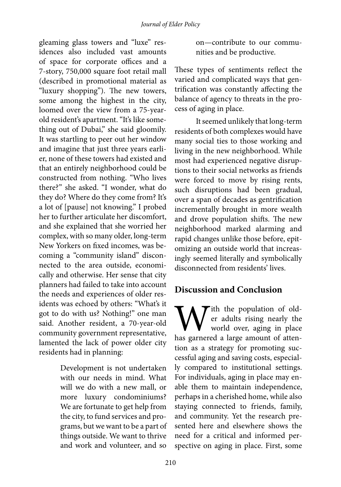gleaming glass towers and "luxe" residences also included vast amounts of space for corporate offices and a 7-story, 750,000 square foot retail mall (described in promotional material as "luxury shopping"). The new towers, some among the highest in the city, loomed over the view from a 75-yearold resident's apartment. "It's like something out of Dubai," she said gloomily. It was startling to peer out her window and imagine that just three years earlier, none of these towers had existed and that an entirely neighborhood could be constructed from nothing. "Who lives there?" she asked. "I wonder, what do they do? Where do they come from? It's a lot of [pause] not knowing." I probed her to further articulate her discomfort, and she explained that she worried her complex, with so many older, long-term New Yorkers on fixed incomes, was becoming a "community island" disconnected to the area outside, economically and otherwise. Her sense that city planners had failed to take into account the needs and experiences of older residents was echoed by others: "What's it got to do with us? Nothing!" one man said. Another resident, a 70-year-old community government representative, lamented the lack of power older city residents had in planning:

> Development is not undertaken with our needs in mind. What will we do with a new mall, or more luxury condominiums? We are fortunate to get help from the city, to fund services and programs, but we want to be a part of things outside. We want to thrive and work and volunteer, and so

on—contribute to our communities and be productive.

These types of sentiments reflect the varied and complicated ways that gentrification was constantly affecting the balance of agency to threats in the process of aging in place.

It seemed unlikely that long-term residents of both complexes would have many social ties to those working and living in the new neighborhood. While most had experienced negative disruptions to their social networks as friends were forced to move by rising rents, such disruptions had been gradual, over a span of decades as gentrification incrementally brought in more wealth and drove population shifts. The new neighborhood marked alarming and rapid changes unlike those before, epitomizing an outside world that increasingly seemed literally and symbolically disconnected from residents' lives.

### **Discussion and Conclusion**

With the population of old-<br>er adults rising nearly the<br>has garnered a large amount of attener adults rising nearly the world over, aging in place tion as a strategy for promoting successful aging and saving costs, especially compared to institutional settings. For individuals, aging in place may enable them to maintain independence, perhaps in a cherished home, while also staying connected to friends, family, and community. Yet the research presented here and elsewhere shows the need for a critical and informed perspective on aging in place. First, some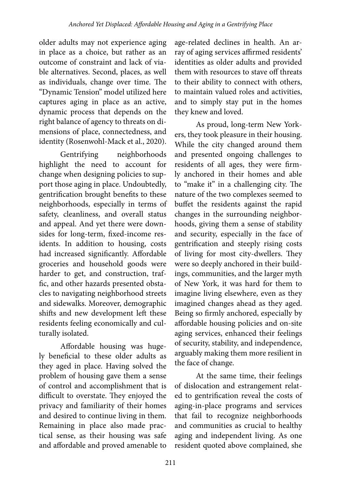older adults may not experience aging in place as a choice, but rather as an outcome of constraint and lack of viable alternatives. Second, places, as well as individuals, change over time. The "Dynamic Tension" model utilized here captures aging in place as an active, dynamic process that depends on the right balance of agency to threats on dimensions of place, connectedness, and identity (Rosenwohl-Mack et al., 2020).

Gentrifying neighborhoods highlight the need to account for change when designing policies to support those aging in place. Undoubtedly, gentrification brought benefits to these neighborhoods, especially in terms of safety, cleanliness, and overall status and appeal. And yet there were downsides for long-term, fixed-income residents. In addition to housing, costs had increased significantly. Affordable groceries and household goods were harder to get, and construction, traffic, and other hazards presented obstacles to navigating neighborhood streets and sidewalks. Moreover, demographic shifts and new development left these residents feeling economically and culturally isolated.

Affordable housing was hugely beneficial to these older adults as they aged in place. Having solved the problem of housing gave them a sense of control and accomplishment that is difficult to overstate. They enjoyed the privacy and familiarity of their homes and desired to continue living in them. Remaining in place also made practical sense, as their housing was safe and affordable and proved amenable to

age-related declines in health. An array of aging services affirmed residents' identities as older adults and provided them with resources to stave off threats to their ability to connect with others, to maintain valued roles and activities, and to simply stay put in the homes they knew and loved.

As proud, long-term New Yorkers, they took pleasure in their housing. While the city changed around them and presented ongoing challenges to residents of all ages, they were firmly anchored in their homes and able to "make it" in a challenging city. The nature of the two complexes seemed to buffet the residents against the rapid changes in the surrounding neighborhoods, giving them a sense of stability and security, especially in the face of gentrification and steeply rising costs of living for most city-dwellers. They were so deeply anchored in their buildings, communities, and the larger myth of New York, it was hard for them to imagine living elsewhere, even as they imagined changes ahead as they aged. Being so firmly anchored, especially by affordable housing policies and on-site aging services, enhanced their feelings of security, stability, and independence, arguably making them more resilient in the face of change.

At the same time, their feelings of dislocation and estrangement related to gentrification reveal the costs of aging-in-place programs and services that fail to recognize neighborhoods and communities as crucial to healthy aging and independent living. As one resident quoted above complained, she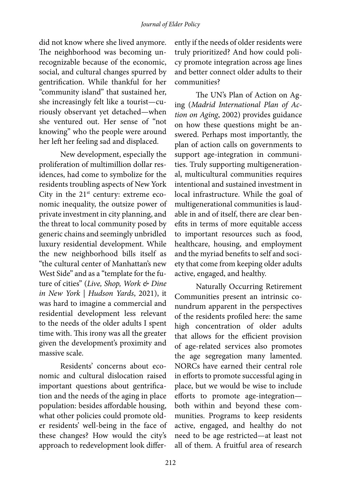### *Journal of Elder Policy*

did not know where she lived anymore. The neighborhood was becoming unrecognizable because of the economic, social, and cultural changes spurred by gentrification. While thankful for her "community island" that sustained her, she increasingly felt like a tourist—curiously observant yet detached—when she ventured out. Her sense of "not knowing" who the people were around her left her feeling sad and displaced.

New development, especially the proliferation of multimillion dollar residences, had come to symbolize for the residents troubling aspects of New York City in the  $21<sup>st</sup>$  century: extreme economic inequality, the outsize power of private investment in city planning, and the threat to local community posed by generic chains and seemingly unbridled luxury residential development. While the new neighborhood bills itself as "the cultural center of Manhattan's new West Side" and as a "template for the future of cities" (*Live, Shop, Work & Dine in New York | Hudson Yards*, 2021), it was hard to imagine a commercial and residential development less relevant to the needs of the older adults I spent time with. This irony was all the greater given the development's proximity and massive scale.

Residents' concerns about economic and cultural dislocation raised important questions about gentrification and the needs of the aging in place population: besides affordable housing, what other policies could promote older residents' well-being in the face of these changes? How would the city's approach to redevelopment look differently if the needs of older residents were truly prioritized? And how could policy promote integration across age lines and better connect older adults to their communities?

The UN's Plan of Action on Aging (*Madrid International Plan of Action on Aging*, 2002) provides guidance on how these questions might be answered. Perhaps most importantly, the plan of action calls on governments to support age-integration in communities. Truly supporting multigenerational, multicultural communities requires intentional and sustained investment in local infrastructure. While the goal of multigenerational communities is laudable in and of itself, there are clear benefits in terms of more equitable access to important resources such as food, healthcare, housing, and employment and the myriad benefits to self and society that come from keeping older adults active, engaged, and healthy.

Naturally Occurring Retirement Communities present an intrinsic conundrum apparent in the perspectives of the residents profiled here: the same high concentration of older adults that allows for the efficient provision of age-related services also promotes the age segregation many lamented. NORCs have earned their central role in efforts to promote successful aging in place, but we would be wise to include efforts to promote age-integration both within and beyond these communities. Programs to keep residents active, engaged, and healthy do not need to be age restricted—at least not all of them. A fruitful area of research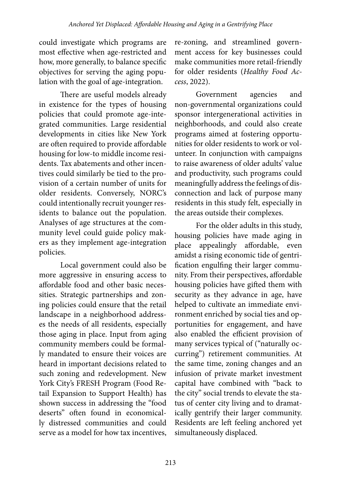could investigate which programs are most effective when age-restricted and how, more generally, to balance specific objectives for serving the aging population with the goal of age-integration.

There are useful models already in existence for the types of housing policies that could promote age-integrated communities. Large residential developments in cities like New York are often required to provide affordable housing for low-to middle income residents. Tax abatements and other incentives could similarly be tied to the provision of a certain number of units for older residents. Conversely, NORC's could intentionally recruit younger residents to balance out the population. Analyses of age structures at the community level could guide policy makers as they implement age-integration policies.

Local government could also be more aggressive in ensuring access to affordable food and other basic necessities. Strategic partnerships and zoning policies could ensure that the retail landscape in a neighborhood addresses the needs of all residents, especially those aging in place. Input from aging community members could be formally mandated to ensure their voices are heard in important decisions related to such zoning and redevelopment. New York City's FRESH Program (Food Retail Expansion to Support Health) has shown success in addressing the "food deserts" often found in economically distressed communities and could serve as a model for how tax incentives,

re-zoning, and streamlined government access for key businesses could make communities more retail-friendly for older residents (*Healthy Food Access*, 2022).

Government agencies and non-governmental organizations could sponsor intergenerational activities in neighborhoods, and could also create programs aimed at fostering opportunities for older residents to work or volunteer. In conjunction with campaigns to raise awareness of older adults' value and productivity, such programs could meaningfully address the feelings of disconnection and lack of purpose many residents in this study felt, especially in the areas outside their complexes.

For the older adults in this study, housing policies have made aging in place appealingly affordable, even amidst a rising economic tide of gentrification engulfing their larger community. From their perspectives, affordable housing policies have gifted them with security as they advance in age, have helped to cultivate an immediate environment enriched by social ties and opportunities for engagement, and have also enabled the efficient provision of many services typical of ("naturally occurring") retirement communities. At the same time, zoning changes and an infusion of private market investment capital have combined with "back to the city" social trends to elevate the status of center city living and to dramatically gentrify their larger community. Residents are left feeling anchored yet simultaneously displaced.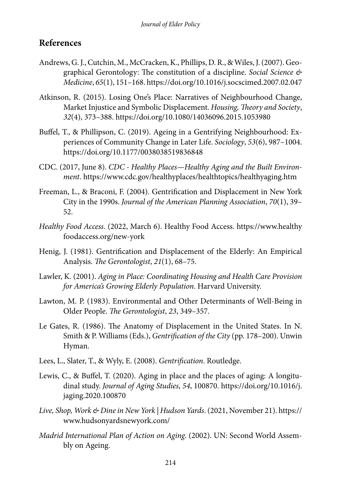### **References**

- Andrews, G. J., Cutchin, M., McCracken, K., Phillips, D. R., & Wiles, J. (2007). Geographical Gerontology: The constitution of a discipline. *Social Science & Medicine*, *65*(1), 151–168. https://doi.org/10.1016/j.socscimed.2007.02.047
- Atkinson, R. (2015). Losing One's Place: Narratives of Neighbourhood Change, Market Injustice and Symbolic Displacement. *Housing, Theory and Society*, *32*(4), 373–388. https://doi.org/10.1080/14036096.2015.1053980
- Buffel, T., & Phillipson, C. (2019). Ageing in a Gentrifying Neighbourhood: Experiences of Community Change in Later Life. *Sociology*, *53*(6), 987–1004. https://doi.org/10.1177/0038038519836848
- CDC. (2017, June 8). *CDC Healthy Places—Healthy Aging and the Built Environment*. https://www.cdc.gov/healthyplaces/healthtopics/healthyaging.htm
- Freeman, L., & Braconi, F. (2004). Gentrification and Displacement in New York City in the 1990s. *Journal of the American Planning Association*, *70*(1), 39– 52.
- *Healthy Food Access*. (2022, March 6). Healthy Food Access. https://www.healthy foodaccess.org/new-york
- Henig, J. (1981). Gentrification and Displacement of the Elderly: An Empirical Analysis. *The Gerontologist*, *21*(1), 68–75.
- Lawler, K. (2001). *Aging in Place: Coordinating Housing and Health Care Provision for America's Growing Elderly Population*. Harvard University.
- Lawton, M. P. (1983). Environmental and Other Determinants of Well-Being in Older People. *The Gerontologist*, *23*, 349–357.
- Le Gates, R. (1986). The Anatomy of Displacement in the United States. In N. Smith & P. Williams (Eds.), *Gentrification of the City* (pp. 178–200). Unwin Hyman.
- Lees, L., Slater, T., & Wyly, E. (2008). *Gentrification*. Routledge.
- Lewis, C., & Buffel, T. (2020). Aging in place and the places of aging: A longitudinal study. *Journal of Aging Studies*, *54*, 100870. https://doi.org/10.1016/j. jaging.2020.100870
- *Live, Shop, Work & Dine in New York | Hudson Yards*. (2021, November 21). https:// www.hudsonyardsnewyork.com/
- *Madrid International Plan of Action on Aging*. (2002). UN: Second World Assembly on Ageing.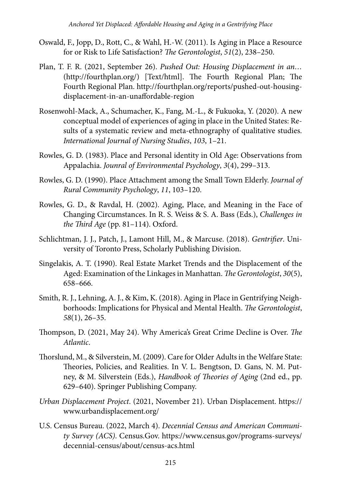- Oswald, F., Jopp, D., Rott, C., & Wahl, H.-W. (2011). Is Aging in Place a Resource for or Risk to Life Satisfaction? *The Gerontologist*, *51*(2), 238–250.
- Plan, T. F. R. (2021, September 26). *Pushed Out: Housing Displacement in an…* (http://fourthplan.org/) [Text/html]. The Fourth Regional Plan; The Fourth Regional Plan. http://fourthplan.org/reports/pushed-out-housingdisplacement-in-an-unaffordable-region
- Rosenwohl-Mack, A., Schumacher, K., Fang, M.-L., & Fukuoka, Y. (2020). A new conceptual model of experiences of aging in place in the United States: Results of a systematic review and meta-ethnography of qualitative studies. *International Journal of Nursing Studies*, *103*, 1–21.
- Rowles, G. D. (1983). Place and Personal identity in Old Age: Observations from Appalachia. *Jounral of Environmental Psychology*, *3*(4), 299–313.
- Rowles, G. D. (1990). Place Attachment among the Small Town Elderly. *Journal of Rural Community Psychology*, *11*, 103–120.
- Rowles, G. D., & Ravdal, H. (2002). Aging, Place, and Meaning in the Face of Changing Circumstances. In R. S. Weiss & S. A. Bass (Eds.), *Challenges in the Third Age* (pp. 81–114). Oxford.
- Schlichtman, J. J., Patch, J., Lamont Hill, M., & Marcuse. (2018). *Gentrifier*. University of Toronto Press, Scholarly Publishing Division.
- Singelakis, A. T. (1990). Real Estate Market Trends and the Displacement of the Aged: Examination of the Linkages in Manhattan. *The Gerontologist*, *30*(5), 658–666.
- Smith, R. J., Lehning, A. J., & Kim, K. (2018). Aging in Place in Gentrifying Neighborhoods: Implications for Physical and Mental Health. *The Gerontologist*, *58*(1), 26–35.
- Thompson, D. (2021, May 24). Why America's Great Crime Decline is Over. *The Atlantic*.
- Thorslund, M., & Silverstein, M. (2009). Care for Older Adults in the Welfare State: Theories, Policies, and Realities. In V. L. Bengtson, D. Gans, N. M. Putney, & M. Silverstein (Eds.), *Handbook of Theories of Aging* (2nd ed., pp. 629–640). Springer Publishing Company.
- *Urban Displacement Project*. (2021, November 21). Urban Displacement. https:// www.urbandisplacement.org/
- U.S. Census Bureau. (2022, March 4). *Decennial Census and American Community Survey (ACS)*. Census.Gov. https://www.census.gov/programs-surveys/ decennial-census/about/census-acs.html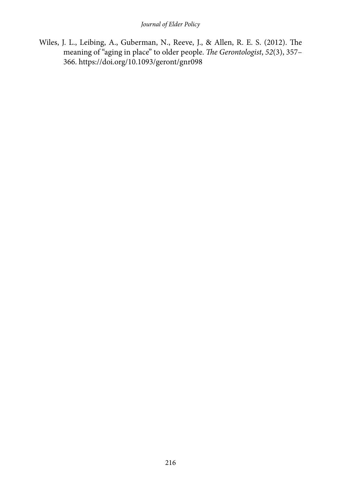Wiles, J. L., Leibing, A., Guberman, N., Reeve, J., & Allen, R. E. S. (2012). The meaning of "aging in place" to older people. *The Gerontologist*, *52*(3), 357– 366. https://doi.org/10.1093/geront/gnr098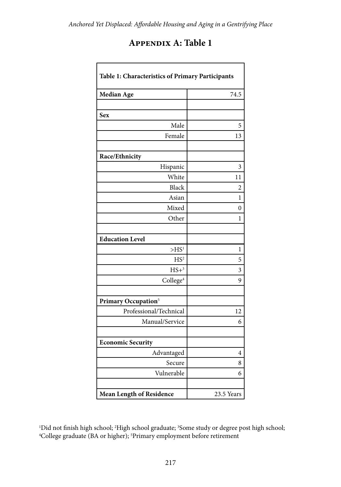| <b>APPENDIX A: Table 1</b> |  |  |  |
|----------------------------|--|--|--|
|----------------------------|--|--|--|

| Table 1: Characteristics of Primary Participants |                         |  |  |  |
|--------------------------------------------------|-------------------------|--|--|--|
| <b>Median Age</b>                                | 74.5                    |  |  |  |
|                                                  |                         |  |  |  |
| Sex                                              |                         |  |  |  |
| Male                                             | 5                       |  |  |  |
| Female                                           | 13                      |  |  |  |
|                                                  |                         |  |  |  |
| Race/Ethnicity                                   |                         |  |  |  |
| Hispanic                                         | 3                       |  |  |  |
| White                                            | 11                      |  |  |  |
| <b>Black</b>                                     | 2                       |  |  |  |
| Asian                                            | 1                       |  |  |  |
| Mixed                                            | $\theta$                |  |  |  |
| Other                                            | 1                       |  |  |  |
|                                                  |                         |  |  |  |
| <b>Education Level</b>                           |                         |  |  |  |
| >HS <sup>1</sup>                                 | 1                       |  |  |  |
| HS <sup>2</sup>                                  | 5                       |  |  |  |
| $HS+3$                                           | $\overline{\mathbf{3}}$ |  |  |  |
| College <sup>4</sup>                             | 9                       |  |  |  |
|                                                  |                         |  |  |  |
| Primary Occupation <sup>5</sup>                  |                         |  |  |  |
| Professional/Technical                           | 12                      |  |  |  |
| Manual/Service                                   | 6                       |  |  |  |
|                                                  |                         |  |  |  |
| <b>Economic Security</b>                         |                         |  |  |  |
| Advantaged                                       | 4                       |  |  |  |
| Secure                                           | 8                       |  |  |  |
| Vulnerable                                       | 6                       |  |  |  |
|                                                  |                         |  |  |  |
| <b>Mean Length of Residence</b>                  | 23.5 Years              |  |  |  |

 $\rm{^{1}Did}$  not finish high school;  $\rm{^{2}High}$  school graduate;  $\rm{^{3}Some}$  study or degree post high school;  $\rm{^{4}Col}$  or anduate (BA or bigher);  $\rm{^{5}Primary}$  employment before retirement College graduate (BA or higher); 5 Primary employment before retirement